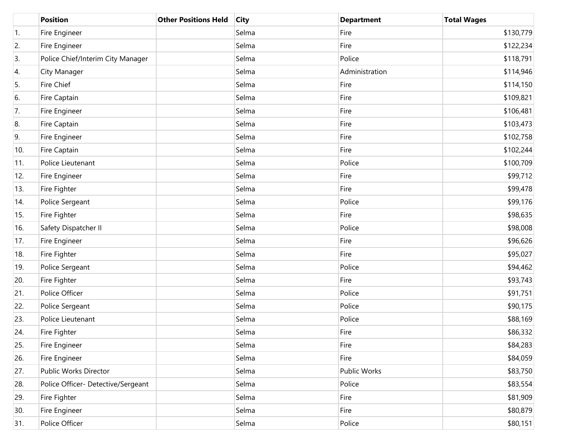|     | <b>Position</b>                    | <b>Other Positions Held</b> | <b>City</b> | <b>Department</b>   | <b>Total Wages</b> |
|-----|------------------------------------|-----------------------------|-------------|---------------------|--------------------|
| 1.  | Fire Engineer                      |                             | Selma       | Fire                | \$130,779          |
| 2.  | Fire Engineer                      |                             | Selma       | Fire                | \$122,234          |
| 3.  | Police Chief/Interim City Manager  |                             | Selma       | Police              | \$118,791          |
| 4.  | City Manager                       |                             | Selma       | Administration      | \$114,946          |
| 5.  | Fire Chief                         |                             | Selma       | Fire                | \$114,150          |
| 6.  | Fire Captain                       |                             | Selma       | Fire                | \$109,821          |
| 7.  | Fire Engineer                      |                             | Selma       | Fire                | \$106,481          |
| 8.  | Fire Captain                       |                             | Selma       | Fire                | \$103,473          |
| 9.  | Fire Engineer                      |                             | Selma       | Fire                | \$102,758          |
| 10. | Fire Captain                       |                             | Selma       | Fire                | \$102,244          |
| 11. | Police Lieutenant                  |                             | Selma       | Police              | \$100,709          |
| 12. | Fire Engineer                      |                             | Selma       | Fire                | \$99,712           |
| 13. | Fire Fighter                       |                             | Selma       | Fire                | \$99,478           |
| 14. | Police Sergeant                    |                             | Selma       | Police              | \$99,176           |
| 15. | Fire Fighter                       |                             | Selma       | Fire                | \$98,635           |
| 16. | Safety Dispatcher II               |                             | Selma       | Police              | \$98,008           |
| 17. | Fire Engineer                      |                             | Selma       | Fire                | \$96,626           |
| 18. | Fire Fighter                       |                             | Selma       | Fire                | \$95,027           |
| 19. | Police Sergeant                    |                             | Selma       | Police              | \$94,462           |
| 20. | Fire Fighter                       |                             | Selma       | Fire                | \$93,743           |
| 21. | Police Officer                     |                             | Selma       | Police              | \$91,751           |
| 22. | Police Sergeant                    |                             | Selma       | Police              | \$90,175           |
| 23. | Police Lieutenant                  |                             | Selma       | Police              | \$88,169           |
| 24. | Fire Fighter                       |                             | Selma       | Fire                | \$86,332           |
| 25. | Fire Engineer                      |                             | Selma       | Fire                | \$84,283           |
| 26. | Fire Engineer                      |                             | Selma       | Fire                | \$84,059           |
| 27. | Public Works Director              |                             | Selma       | <b>Public Works</b> | \$83,750           |
| 28. | Police Officer- Detective/Sergeant |                             | Selma       | Police              | \$83,554           |
| 29. | Fire Fighter                       |                             | Selma       | Fire                | \$81,909           |
| 30. | Fire Engineer                      |                             | Selma       | Fire                | \$80,879           |
| 31. | Police Officer                     |                             | Selma       | Police              | \$80,151           |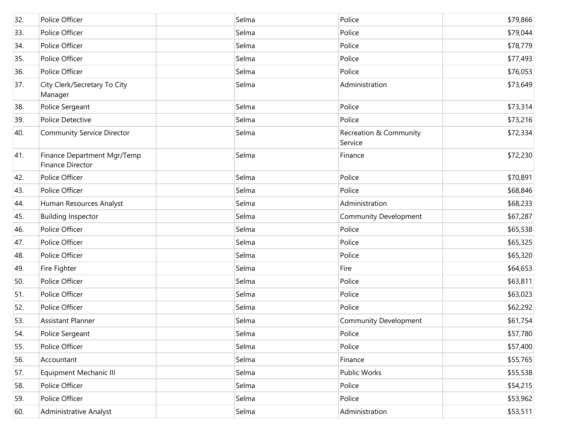| 32. | Police Officer                                         | Selma | Police                            | \$79,866 |
|-----|--------------------------------------------------------|-------|-----------------------------------|----------|
| 33. | Police Officer                                         | Selma | Police                            | \$79,044 |
| 34. | Police Officer                                         | Selma | Police                            | \$78,779 |
| 35. | Police Officer                                         | Selma | Police                            | \$77,493 |
| 36. | Police Officer                                         | Selma | Police                            | \$76,053 |
| 37. | City Clerk/Secretary To City<br>Manager                | Selma | Administration                    | \$73,649 |
| 38. | Police Sergeant                                        | Selma | Police                            | \$73,314 |
| 39. | Police Detective                                       | Selma | Police                            | \$73,216 |
| 40. | <b>Community Service Director</b>                      | Selma | Recreation & Community<br>Service | \$72,334 |
| 41. | Finance Department Mgr/Temp<br><b>Finance Director</b> | Selma | Finance                           | \$72,230 |
| 42. | Police Officer                                         | Selma | Police                            | \$70,891 |
| 43. | Police Officer                                         | Selma | Police                            | \$68,846 |
| 44. | Human Resources Analyst                                | Selma | Administration                    | \$68,233 |
| 45. | <b>Building Inspector</b>                              | Selma | <b>Community Development</b>      | \$67,287 |
| 46. | Police Officer                                         | Selma | Police                            | \$65,538 |
| 47. | Police Officer                                         | Selma | Police                            | \$65,325 |
| 48. | Police Officer                                         | Selma | Police                            | \$65,320 |
| 49. | Fire Fighter                                           | Selma | Fire                              | \$64,653 |
| 50. | Police Officer                                         | Selma | Police                            | \$63,811 |
| 51. | Police Officer                                         | Selma | Police                            | \$63,023 |
| 52. | Police Officer                                         | Selma | Police                            | \$62,292 |
| 53. | <b>Assistant Planner</b>                               | Selma | <b>Community Development</b>      | \$61,754 |
| 54. | Police Sergeant                                        | Selma | Police                            | \$57,780 |
| 55. | Police Officer                                         | Selma | Police                            | \$57,400 |
| 56. | Accountant                                             | Selma | Finance                           | \$55,765 |
| 57. | <b>Equipment Mechanic III</b>                          | Selma | Public Works                      | \$55,538 |
| 58. | Police Officer                                         | Selma | Police                            | \$54,215 |
| 59. | Police Officer                                         | Selma | Police                            | \$53,962 |
| 60. | <b>Administrative Analyst</b>                          | Selma | Administration                    | \$53,511 |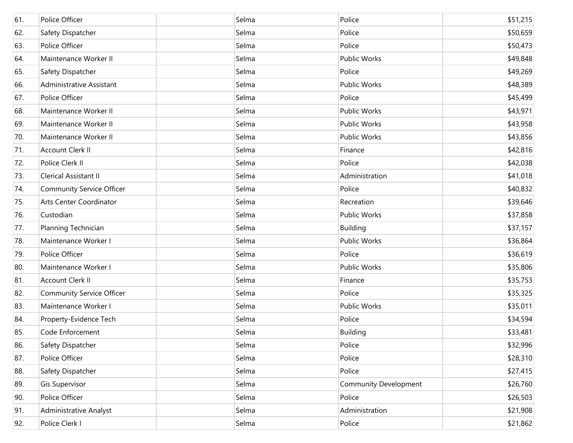| 61. | Police Officer                   | Selma | Police                | \$51,215 |
|-----|----------------------------------|-------|-----------------------|----------|
| 62. | Safety Dispatcher                | Selma | Police                | \$50,659 |
| 63. | Police Officer                   | Selma | Police                | \$50,473 |
| 64. | Maintenance Worker II            | Selma | <b>Public Works</b>   | \$49,848 |
| 65. | Safety Dispatcher                | Selma | Police                | \$49,269 |
| 66. | Administrative Assistant         | Selma | <b>Public Works</b>   | \$48,389 |
| 67. | Police Officer                   | Selma | Police                | \$45,499 |
| 68. | Maintenance Worker II            | Selma | <b>Public Works</b>   | \$43,971 |
| 69. | Maintenance Worker II            | Selma | Public Works          | \$43,958 |
| 70. | Maintenance Worker II            | Selma | Public Works          | \$43,856 |
| 71. | Account Clerk II                 | Selma | Finance               | \$42,816 |
| 72. | Police Clerk II                  | Selma | Police                | \$42,038 |
| 73. | Clerical Assistant II            | Selma | Administration        | \$41,018 |
| 74. | <b>Community Service Officer</b> | Selma | Police                | \$40,832 |
| 75. | Arts Center Coordinator          | Selma | Recreation            | \$39,646 |
| 76. | Custodian                        | Selma | <b>Public Works</b>   | \$37,858 |
| 77. | Planning Technician              | Selma | <b>Building</b>       | \$37,157 |
| 78. | Maintenance Worker I             | Selma | <b>Public Works</b>   | \$36,864 |
| 79. | Police Officer                   | Selma | Police                | \$36,619 |
| 80. | Maintenance Worker I             | Selma | Public Works          | \$35,806 |
| 81. | Account Clerk II                 | Selma | Finance               | \$35,753 |
| 82. | <b>Community Service Officer</b> | Selma | Police                | \$35,325 |
| 83. | Maintenance Worker I             | Selma | <b>Public Works</b>   | \$35,011 |
| 84. | Property-Evidence Tech           | Selma | Police                | \$34,594 |
| 85. | Code Enforcement                 | Selma | Building              | \$33,481 |
| 86. | Safety Dispatcher                | Selma | Police                | \$32,996 |
| 87. | Police Officer                   | Selma | Police                | \$28,310 |
| 88. | Safety Dispatcher                | Selma | Police                | \$27,415 |
| 89. | Gis Supervisor                   | Selma | Community Development | \$26,760 |
| 90. | Police Officer                   | Selma | Police                | \$26,503 |
| 91. | <b>Administrative Analyst</b>    | Selma | Administration        | \$21,908 |
| 92. | Police Clerk I                   | Selma | Police                | \$21,862 |